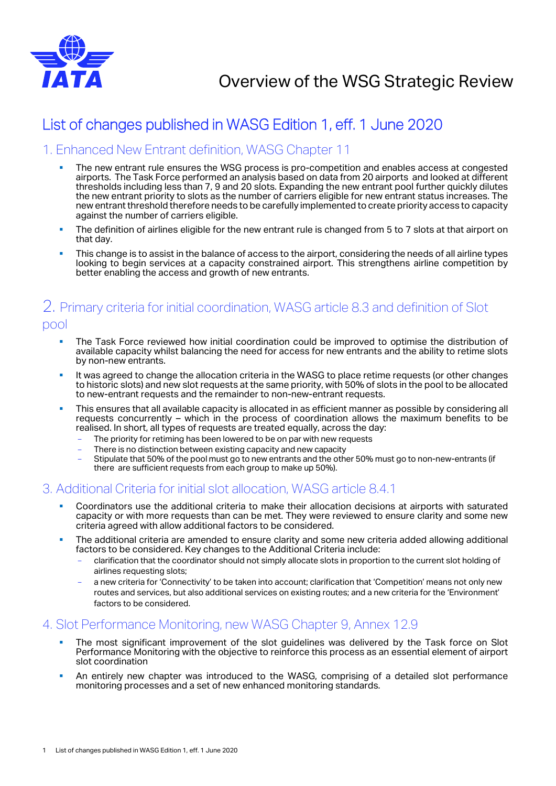

# List of changes published in WASG Edition 1, eff. 1 June 2020

### 1. Enhanced New Entrant definition, WASG Chapter 11

- The new entrant rule ensures the WSG process is pro-competition and enables access at congested airports. The Task Force performed an analysis based on data from 20 airports and looked at different thresholds including less than 7, 9 and 20 slots. Expanding the new entrant pool further quickly dilutes the new entrant priority to slots as the number of carriers eligible for new entrant status increases. The new entrant threshold therefore needs to be carefully implemented to create priority access to capacity against the number of carriers eligible.
- The definition of airlines eligible for the new entrant rule is changed from 5 to 7 slots at that airport on that day.
- **This change is to assist in the balance of access to the airport, considering the needs of all airline types** looking to begin services at a capacity constrained airport. This strengthens airline competition by better enabling the access and growth of new entrants.

# 2. Primary criteria for initial coordination, WASG article 8.3 and definition of Slot pool

- **The Task Force reviewed how initial coordination could be improved to optimise the distribution of** available capacity whilst balancing the need for access for new entrants and the ability to retime slots by non-new entrants.
- It was agreed to change the allocation criteria in the WASG to place retime requests (or other changes to historic slots) and new slot requests at the same priority, with 50% of slots in the pool to be allocated to new-entrant requests and the remainder to non-new-entrant requests.
- This ensures that all available capacity is allocated in as efficient manner as possible by considering all requests concurrently – which in the process of coordination allows the maximum benefits to be realised. In short, all types of requests are treated equally, across the day:
	- The priority for retiming has been lowered to be on par with new requests
	- There is no distinction between existing capacity and new capacity
	- Stipulate that 50% of the pool must go to new entrants and the other 50% must go to non-new-entrants (if there are sufficient requests from each group to make up 50%).

### 3. Additional Criteria for initial slot allocation, WASG article 8.4.1

- Coordinators use the additional criteria to make their allocation decisions at airports with saturated capacity or with more requests than can be met. They were reviewed to ensure clarity and some new criteria agreed with allow additional factors to be considered.
- The additional criteria are amended to ensure clarity and some new criteria added allowing additional factors to be considered. Key changes to the Additional Criteria include:
	- clarification that the coordinator should not simply allocate slots in proportion to the current slot holding of airlines requesting slots;
	- a new criteria for 'Connectivity' to be taken into account; clarification that 'Competition' means not only new routes and services, but also additional services on existing routes; and a new criteria for the 'Environment' factors to be considered.

### 4. Slot Performance Monitoring, new WASG Chapter 9, Annex 12.9

- The most significant improvement of the slot guidelines was delivered by the Task force on Slot Performance Monitoring with the objective to reinforce this process as an essential element of airport slot coordination
- An entirely new chapter was introduced to the WASG, comprising of a detailed slot performance monitoring processes and a set of new enhanced monitoring standards.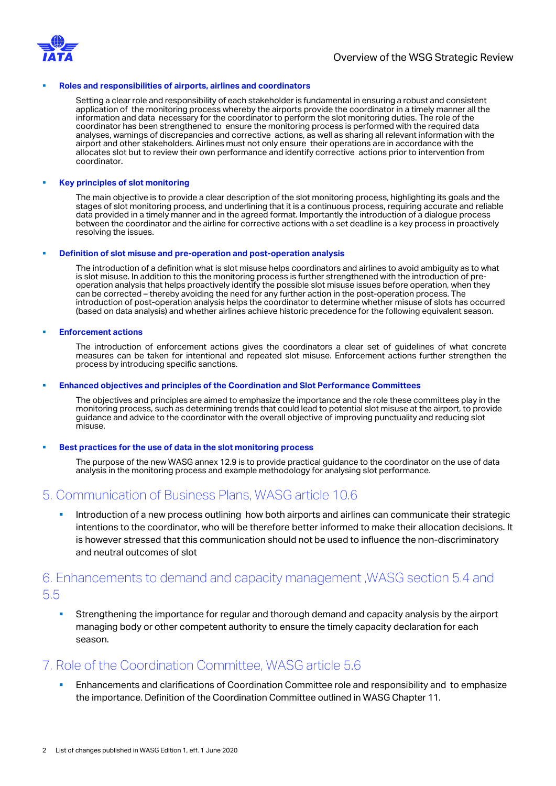

#### **Roles and responsibilities of airports, airlines and coordinators**

Setting a clear role and responsibility of each stakeholder is fundamental in ensuring a robust and consistent application of the monitoring process whereby the airports provide the coordinator in a timely manner all the information and data necessary for the coordinator to perform the slot monitoring duties. The role of the coordinator has been strengthened to ensure the monitoring process is performed with the required data analyses, warnings of discrepancies and corrective actions, as well as sharing all relevant information with the airport and other stakeholders. Airlines must not only ensure their operations are in accordance with the allocates slot but to review their own performance and identify corrective actions prior to intervention from coordinator.

#### **Key principles of slot monitoring**

The main objective is to provide a clear description of the slot monitoring process, highlighting its goals and the stages of slot monitoring process, and underlining that it is a continuous process, requiring accurate and reliable data provided in a timely manner and in the agreed format. Importantly the introduction of a dialogue process between the coordinator and the airline for corrective actions with a set deadline is a key process in proactively resolving the issues.

#### **Definition of slot misuse and pre-operation and post-operation analysis**

The introduction of a definition what is slot misuse helps coordinators and airlines to avoid ambiguity as to what is slot misuse. In addition to this the monitoring process is further strengthened with the introduction of preoperation analysis that helps proactively identify the possible slot misuse issues before operation, when they can be corrected – thereby avoiding the need for any further action in the post-operation process. The introduction of post-operation analysis helps the coordinator to determine whether misuse of slots has occurred (based on data analysis) and whether airlines achieve historic precedence for the following equivalent season.

#### **Enforcement actions**

The introduction of enforcement actions gives the coordinators a clear set of guidelines of what concrete measures can be taken for intentional and repeated slot misuse. Enforcement actions further strengthen the process by introducing specific sanctions.

#### **Enhanced objectives and principles of the Coordination and Slot Performance Committees**

The objectives and principles are aimed to emphasize the importance and the role these committees play in the monitoring process, such as determining trends that could lead to potential slot misuse at the airport, to provide guidance and advice to the coordinator with the overall objective of improving punctuality and reducing slot misuse.

#### **Best practices for the use of data in the slot monitoring process**

The purpose of the new WASG annex 12.9 is to provide practical guidance to the coordinator on the use of data analysis in the monitoring process and example methodology for analysing slot performance.

### 5. Communication of Business Plans, WASG article 10.6

 Introduction of a new process outlining how both airports and airlines can communicate their strategic intentions to the coordinator, who will be therefore better informed to make their allocation decisions. It is however stressed that this communication should not be used to influence the non-discriminatory and neutral outcomes of slot

# 6. Enhancements to demand and capacity management ,WASG section 5.4 and 5.5

 Strengthening the importance for regular and thorough demand and capacity analysis by the airport managing body or other competent authority to ensure the timely capacity declaration for each season.

### 7. Role of the Coordination Committee, WASG article 5.6

 Enhancements and clarifications of Coordination Committee role and responsibility and to emphasize the importance. Definition of the Coordination Committee outlined in WASG Chapter 11.